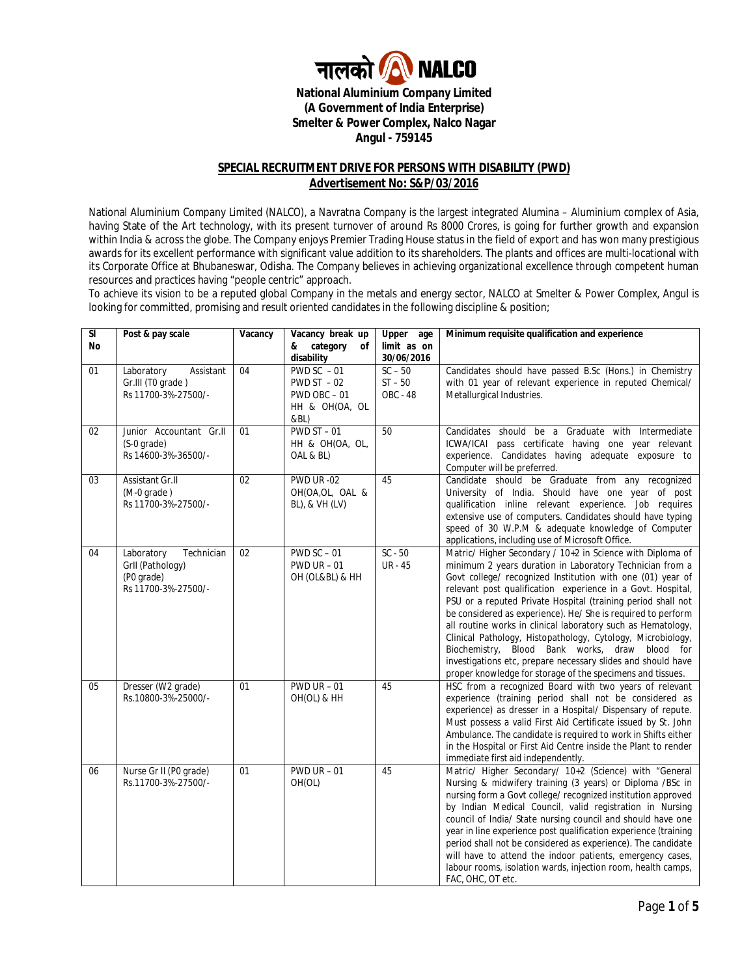

**National Aluminium Company Limited (A Government of India Enterprise) Smelter & Power Complex, Nalco Nagar Angul - 759145**

#### **SPECIAL RECRUITMENT DRIVE FOR PERSONS WITH DISABILITY (PWD) Advertisement No: S&P/03/2016**

National Aluminium Company Limited (NALCO), a Navratna Company is the largest integrated Alumina – Aluminium complex of Asia, having State of the Art technology, with its present turnover of around Rs 8000 Crores, is going for further growth and expansion within India & across the globe. The Company enjoys Premier Trading House status in the field of export and has won many prestigious awards for its excellent performance with significant value addition to its shareholders. The plants and offices are multi-locational with its Corporate Office at Bhubaneswar, Odisha. The Company believes in achieving organizational excellence through competent human resources and practices having "people centric" approach.

To achieve its vision to be a reputed global Company in the metals and energy sector, NALCO at Smelter & Power Complex, Angul is looking for committed, promising and result oriented candidates in the following discipline & position;

| $\overline{\mathbf{S}}$ | Post & pay scale                                                                  | Vacancy         | Vacancy break up                                                                   | Upper<br>age                              | Minimum requisite qualification and experience                                                                                                                                                                                                                                                                                                                                                                                                                                                                                                                                                                                                                                                     |  |  |
|-------------------------|-----------------------------------------------------------------------------------|-----------------|------------------------------------------------------------------------------------|-------------------------------------------|----------------------------------------------------------------------------------------------------------------------------------------------------------------------------------------------------------------------------------------------------------------------------------------------------------------------------------------------------------------------------------------------------------------------------------------------------------------------------------------------------------------------------------------------------------------------------------------------------------------------------------------------------------------------------------------------------|--|--|
| No                      |                                                                                   |                 | category<br>&<br>οf                                                                | limit as on<br>30/06/2016                 |                                                                                                                                                                                                                                                                                                                                                                                                                                                                                                                                                                                                                                                                                                    |  |  |
| 01                      | Laboratory<br>Assistant<br>Gr.III (TO grade)<br>Rs 11700-3%-27500/-               | 04              | disability<br>PWD SC $-01$<br>$PWDST - 02$<br>PWD OBC-01<br>HH & OH(OA, OL<br>&BL) | $SC - 50$<br>$ST - 50$<br><b>OBC - 48</b> | Candidates should have passed B.Sc (Hons.) in Chemistry<br>with 01 year of relevant experience in reputed Chemical/<br>Metallurgical Industries.                                                                                                                                                                                                                                                                                                                                                                                                                                                                                                                                                   |  |  |
| 02                      | Junior Accountant Gr.II<br>(S-0 grade)<br>Rs 14600-3%-36500/-                     | 01              | $PWDST - 01$<br>HH & OH(OA, OL,<br>OAL & BL)                                       | 50                                        | Candidates should be a Graduate with Intermediate<br>ICWA/ICAI pass certificate having one year relevant<br>experience. Candidates having adequate exposure to<br>Computer will be preferred.                                                                                                                                                                                                                                                                                                                                                                                                                                                                                                      |  |  |
| 03                      | Assistant Gr.II<br>$(M-0)$ qrade)<br>Rs 11700-3%-27500/-                          | 02              | <b>PWD UR -02</b><br>OH(OA,OL, OAL &<br>BL), & VH (LV)                             | 45                                        | Candidate should be Graduate from any recognized<br>University of India. Should have one year of post<br>qualification inline relevant experience. Job requires<br>extensive use of computers. Candidates should have typing<br>speed of 30 W.P.M & adequate knowledge of Computer<br>applications, including use of Microsoft Office.                                                                                                                                                                                                                                                                                                                                                             |  |  |
| 04                      | Laboratory<br>Technician<br>Grll (Pathology)<br>(P0 grade)<br>Rs 11700-3%-27500/- | 02              | $PWD SC - 01$<br>$PWD$ UR $-01$<br>OH (OL&BL) & HH                                 | $SC - 50$<br><b>UR</b> - 45               | Matric/ Higher Secondary / 10+2 in Science with Diploma of<br>minimum 2 years duration in Laboratory Technician from a<br>Govt college/ recognized Institution with one (01) year of<br>relevant post qualification experience in a Govt. Hospital,<br>PSU or a reputed Private Hospital (training period shall not<br>be considered as experience). He/ She is required to perform<br>all routine works in clinical laboratory such as Hematology,<br>Clinical Pathology, Histopathology, Cytology, Microbiology,<br>Biochemistry, Blood Bank works, draw blood for<br>investigations etc, prepare necessary slides and should have<br>proper knowledge for storage of the specimens and tissues. |  |  |
| 05                      | Dresser (W2 grade)<br>Rs.10800-3%-25000/-                                         | 01              | $PWD UR - 01$<br>OH(OL) & HH                                                       | 45                                        | HSC from a recognized Board with two years of relevant<br>experience (training period shall not be considered as<br>experience) as dresser in a Hospital/ Dispensary of repute.<br>Must possess a valid First Aid Certificate issued by St. John<br>Ambulance. The candidate is required to work in Shifts either<br>in the Hospital or First Aid Centre inside the Plant to render<br>immediate first aid independently.                                                                                                                                                                                                                                                                          |  |  |
| 06                      | Nurse Gr II (P0 grade)<br>Rs.11700-3%-27500/-                                     | $\overline{01}$ | $PWD UR - 01$<br>OH(OL)                                                            | 45                                        | Matric/ Higher Secondary/ 10+2 (Science) with "General<br>Nursing & midwifery training (3 years) or Diploma /BSc in<br>nursing form a Govt college/ recognized institution approved<br>by Indian Medical Council, valid registration in Nursing<br>council of India/ State nursing council and should have one<br>year in line experience post qualification experience (training<br>period shall not be considered as experience). The candidate<br>will have to attend the indoor patients, emergency cases,<br>labour rooms, isolation wards, injection room, health camps,<br>FAC, OHC, OT etc.                                                                                                |  |  |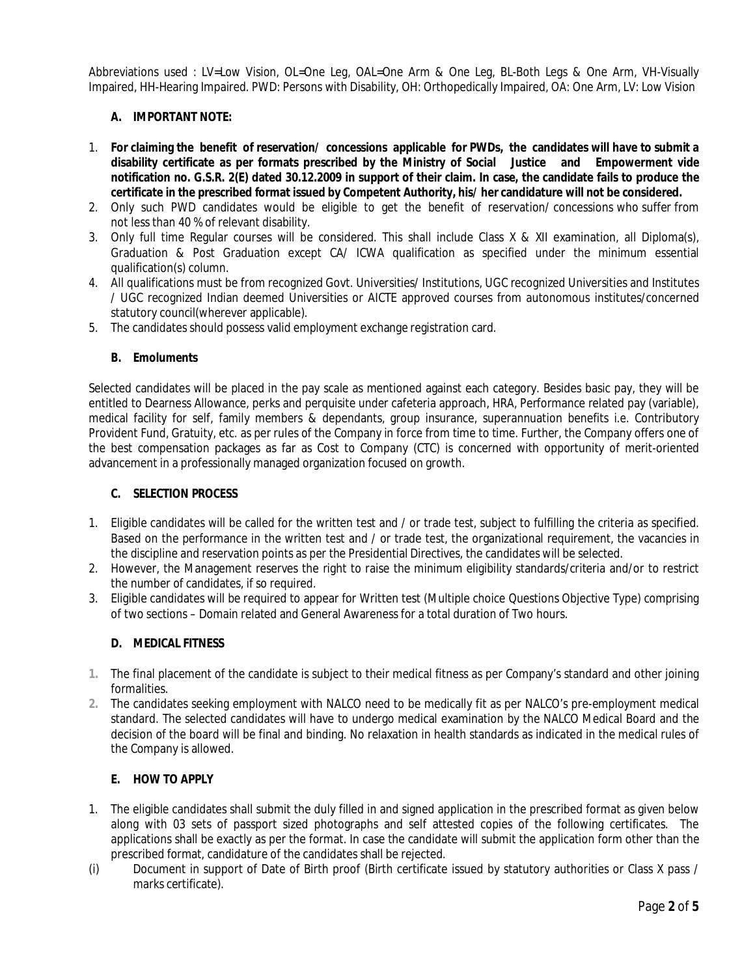Abbreviations used : LV=Low Vision, OL=One Leg, OAL=One Arm & One Leg, BL-Both Legs & One Arm, VH-Visually Impaired, HH-Hearing Impaired. PWD: Persons with Disability, OH: Orthopedically Impaired, OA: One Arm, LV: Low Vision

# **A. IMPORTANT NOTE:**

- 1. **For claiming the benefit of reservation/ concessions applicable for PWDs, the candidates will have to submit a disability certificate as per formats prescribed by the Ministry of Social Justice and Empowerment vide notification no. G.S.R. 2(E) dated 30.12.2009 in support of their claim. In case, the candidate fails to produce the certificate in the prescribed format issued by Competent Authority, his/ her candidature will not be considered.**
- 2. Only such PWD candidates would be eligible to get the benefit of reservation/ concessions who suffer from not less than 40 % of relevant disability.
- 3. Only full time Regular courses will be considered. This shall include Class X & XII examination, all Diploma(s), Graduation & Post Graduation except CA/ ICWA qualification as specified under the minimum essential qualification(s) column.
- 4. All qualifications must be from recognized Govt. Universities/ Institutions, UGC recognized Universities and Institutes / UGC recognized Indian deemed Universities or AICTE approved courses from autonomous institutes/concerned statutory council(wherever applicable).
- 5. The candidates should possess valid employment exchange registration card.

#### **B. Emoluments**

Selected candidates will be placed in the pay scale as mentioned against each category. Besides basic pay, they will be entitled to Dearness Allowance, perks and perquisite under cafeteria approach, HRA, Performance related pay (variable), medical facility for self, family members & dependants, group insurance, superannuation benefits *i.e*. Contributory Provident Fund, Gratuity, etc. as per rules of the Company in force from time to time. Further, the Company offers one of the best compensation packages as far as Cost to Company (CTC) is concerned with opportunity of merit-oriented advancement in a professionally managed organization focused on growth.

#### **C. SELECTION PROCESS**

- 1. Eligible candidates will be called for the written test and / or trade test, subject to fulfilling the criteria as specified. Based on the performance in the written test and / or trade test, the organizational requirement, the vacancies in the discipline and reservation points as per the Presidential Directives, the candidates will be selected.
- 2. However, the Management reserves the right to raise the minimum eligibility standards/criteria and/or to restrict the number of candidates, if so required.
- 3. Eligible candidates will be required to appear for Written test (Multiple choice Questions Objective Type) comprising of two sections – Domain related and General Awareness for a total duration of Two hours.

### **D. MEDICAL FITNESS**

- **1.** The final placement of the candidate is subject to their medical fitness as per Company's standard and other joining formalities.
- **2.** The candidates seeking employment with NALCO need to be medically fit as per NALCO's pre-employment medical standard. The selected candidates will have to undergo medical examination by the NALCO Medical Board and the decision of the board will be final and binding. No relaxation in health standards as indicated in the medical rules of the Company is allowed.

### **E. HOW TO APPLY**

- 1. The eligible candidates shall submit the duly filled in and signed application in the prescribed format as given below along with 03 sets of passport sized photographs and self attested copies of the following certificates. The applications shall be exactly as per the format. In case the candidate will submit the application form other than the prescribed format, candidature of the candidates shall be rejected.
- (i) Document in support of Date of Birth proof (Birth certificate issued by statutory authorities or Class X pass / marks certificate).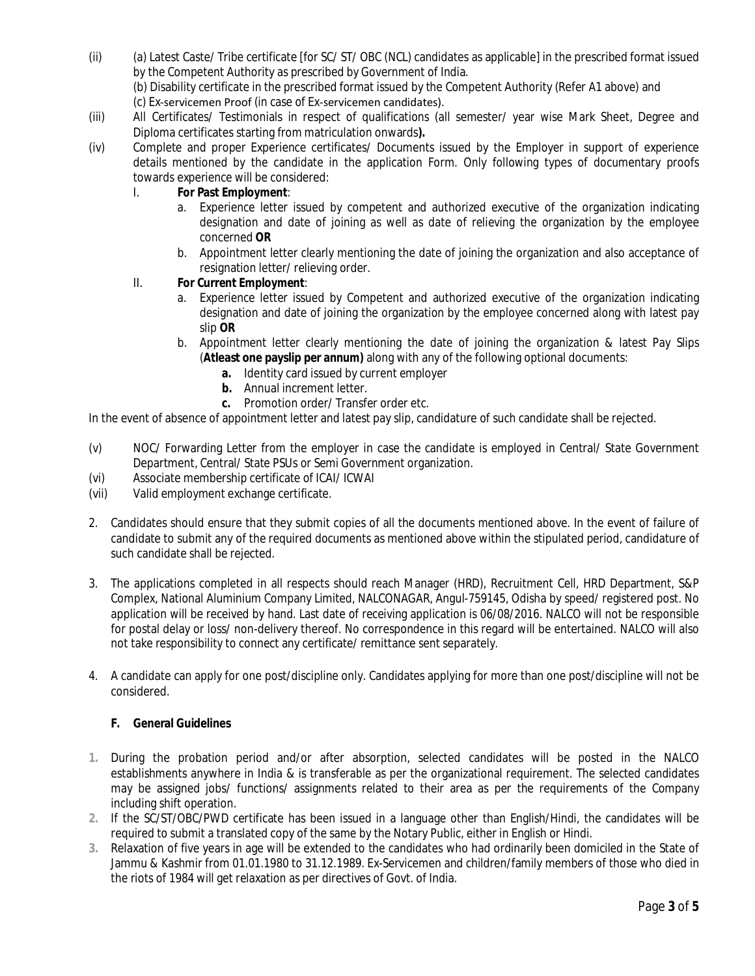(ii) (a) Latest Caste/ Tribe certificate [for SC/ ST/ OBC (NCL) candidates as applicable] in the prescribed format issued by the Competent Authority as prescribed by Government of India.

(b) Disability certificate in the prescribed format issued by the Competent Authority (Refer A1 above) and

- (c) Ex‐servicemen Proof (in case of Ex‐servicemen candidates).
- (iii) All Certificates/ Testimonials in respect of qualifications (all semester/ year wise Mark Sheet, Degree and Diploma certificates starting from matriculation onwards**).**
- (iv) Complete and proper Experience certificates/ Documents issued by the Employer in support of experience details mentioned by the candidate in the application Form. Only following types of documentary proofs towards experience will be considered:

# I. **For Past Employment**:

- a. Experience letter issued by competent and authorized executive of the organization indicating designation and date of joining as well as date of relieving the organization by the employee concerned **OR**
- b. Appointment letter clearly mentioning the date of joining the organization and also acceptance of resignation letter/ relieving order.

# II. **For Current Employment**:

- a. Experience letter issued by Competent and authorized executive of the organization indicating designation and date of joining the organization by the employee concerned along with latest pay slip **OR**
- b. Appointment letter clearly mentioning the date of joining the organization & latest Pay Slips (**Atleast one payslip per annum)** along with any of the following optional documents:
	- **a.** Identity card issued by current employer
	- **b.** Annual increment letter.
	- **c.** Promotion order/ Transfer order etc.

In the event of absence of appointment letter and latest pay slip, candidature of such candidate shall be rejected.

- (v) NOC/ Forwarding Letter from the employer in case the candidate is employed in Central/ State Government Department, Central/ State PSUs or Semi Government organization.
- (vi) Associate membership certificate of ICAI/ ICWAI
- (vii) Valid employment exchange certificate.
- 2. Candidates should ensure that they submit copies of all the documents mentioned above. In the event of failure of candidate to submit any of the required documents as mentioned above within the stipulated period, candidature of such candidate shall be rejected.
- 3. The applications completed in all respects should reach Manager (HRD), Recruitment Cell, HRD Department, S&P Complex, National Aluminium Company Limited, NALCONAGAR, Angul-759145, Odisha by speed/ registered post. No application will be received by hand. Last date of receiving application is 06/08/2016. NALCO will not be responsible for postal delay or loss/ non-delivery thereof. No correspondence in this regard will be entertained. NALCO will also not take responsibility to connect any certificate/ remittance sent separately.
- 4. A candidate can apply for one post/discipline only. Candidates applying for more than one post/discipline will not be considered.

### **F. General Guidelines**

- **1.** During the probation period and/or after absorption, selected candidates will be posted in the NALCO establishments anywhere in India & is transferable as per the organizational requirement. The selected candidates may be assigned jobs/ functions/ assignments related to their area as per the requirements of the Company including shift operation.
- **2.** If the SC/ST/OBC/PWD certificate has been issued in a language other than English/Hindi, the candidates will be required to submit a translated copy of the same by the Notary Public, either in English or Hindi.
- **3.** Relaxation of five years in age will be extended to the candidates who had ordinarily been domiciled in the State of Jammu & Kashmir from 01.01.1980 to 31.12.1989. Ex-Servicemen and children/family members of those who died in the riots of 1984 will get relaxation as per directives of Govt. of India.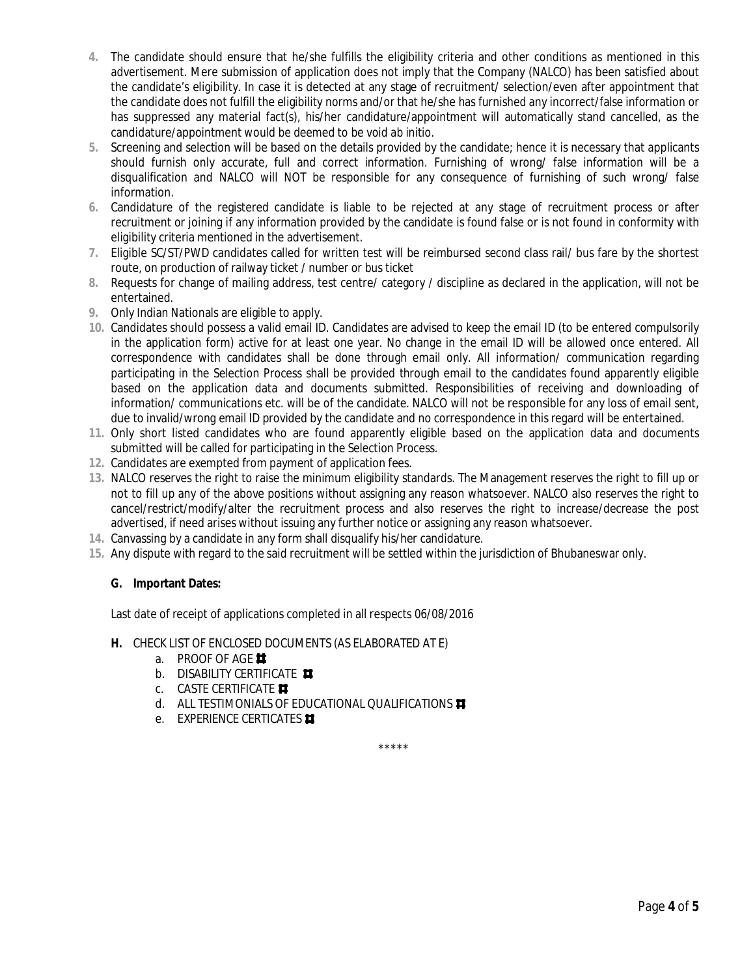- **4.** The candidate should ensure that he/she fulfills the eligibility criteria and other conditions as mentioned in this advertisement. Mere submission of application does not imply that the Company (NALCO) has been satisfied about the candidate's eligibility. In case it is detected at any stage of recruitment/ selection/even after appointment that the candidate does not fulfill the eligibility norms and/or that he/she has furnished any incorrect/false information or has suppressed any material fact(s), his/her candidature/appointment will automatically stand cancelled, as the candidature/appointment would be deemed to be void *ab initio*.
- **5.** Screening and selection will be based on the details provided by the candidate; hence it is necessary that applicants should furnish only accurate, full and correct information. Furnishing of wrong/ false information will be a disqualification and NALCO will NOT be responsible for any consequence of furnishing of such wrong/ false information.
- **6.** Candidature of the registered candidate is liable to be rejected at any stage of recruitment process or after recruitment or joining if any information provided by the candidate is found false or is not found in conformity with eligibility criteria mentioned in the advertisement.
- **7.** Eligible SC/ST/PWD candidates called for written test will be reimbursed second class rail/ bus fare by the shortest route, on production of railway ticket / number or bus ticket
- **8.** Requests for change of mailing address, test centre/ category / discipline as declared in the application, will not be entertained.
- **9.** Only Indian Nationals are eligible to apply.
- **10.** Candidates should possess a valid email ID. Candidates are advised to keep the email ID (to be entered compulsorily in the application form) active for at least one year. No change in the email ID will be allowed once entered. All correspondence with candidates shall be done through email only. All information/ communication regarding participating in the Selection Process shall be provided through email to the candidates found apparently eligible based on the application data and documents submitted. Responsibilities of receiving and downloading of information/ communications etc. will be of the candidate. NALCO will not be responsible for any loss of email sent, due to invalid/wrong email ID provided by the candidate and no correspondence in this regard will be entertained.
- **11.** Only short listed candidates who are found apparently eligible based on the application data and documents submitted will be called for participating in the Selection Process.
- **12.** Candidates are exempted from payment of application fees.
- **13.** NALCO reserves the right to raise the minimum eligibility standards. The Management reserves the right to fill up or not to fill up any of the above positions without assigning any reason whatsoever. NALCO also reserves the right to cancel/restrict/modify/alter the recruitment process and also reserves the right to increase/decrease the post advertised, if need arises without issuing any further notice or assigning any reason whatsoever.
- **14.** Canvassing by a candidate in any form shall disqualify his/her candidature.
- **15.** Any dispute with regard to the said recruitment will be settled within the jurisdiction of Bhubaneswar only.

### **G. Important Dates:**

Last date of receipt of applications completed in all respects 06/08/2016

### **H.** CHECK LIST OF ENCLOSED DOCUMENTS (AS ELABORATED AT E)

- a. PROOF OF AGE
- b. DISABILITY CERTIFICATE
- c. CASTE CERTIFICATE
- d. ALL TESTIMONIALS OF EDUCATIONAL QUALIFICATIONS
- e. EXPERIENCE CERTICATES **#**

\*\*\*\*\*